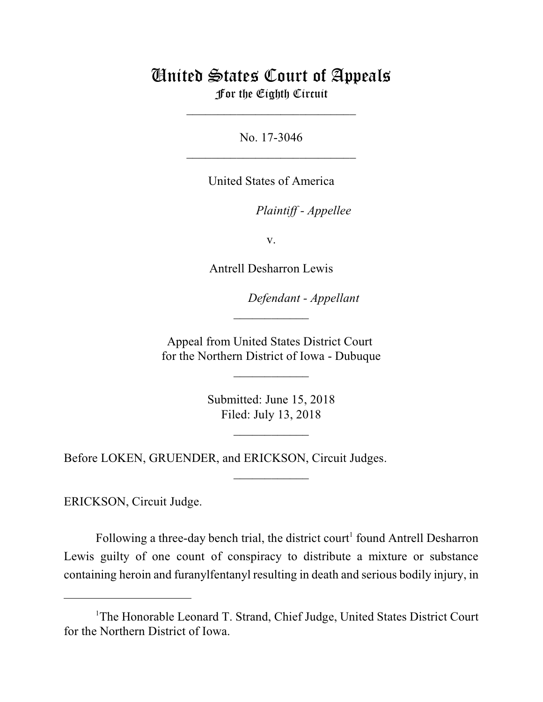## United States Court of Appeals For the Eighth Circuit

\_\_\_\_\_\_\_\_\_\_\_\_\_\_\_\_\_\_\_\_\_\_\_\_\_\_\_

No. 17-3046  $\mathcal{L}_\text{max}$  , which is a set of the set of the set of the set of the set of the set of the set of the set of the set of the set of the set of the set of the set of the set of the set of the set of the set of the set of

United States of America

*Plaintiff - Appellee*

v.

Antrell Desharron Lewis

*Defendant - Appellant*

Appeal from United States District Court for the Northern District of Iowa - Dubuque

 $\overline{\phantom{a}}$  , where  $\overline{\phantom{a}}$ 

 $\frac{1}{2}$ 

Submitted: June 15, 2018 Filed: July 13, 2018

 $\frac{1}{2}$ 

 $\overline{\phantom{a}}$  , where  $\overline{\phantom{a}}$ 

Before LOKEN, GRUENDER, and ERICKSON, Circuit Judges.

ERICKSON, Circuit Judge.

Following a three-day bench trial, the district court<sup>1</sup> found Antrell Desharron Lewis guilty of one count of conspiracy to distribute a mixture or substance containing heroin and furanylfentanyl resulting in death and serious bodily injury, in

<sup>&</sup>lt;sup>1</sup>The Honorable Leonard T. Strand, Chief Judge, United States District Court for the Northern District of Iowa.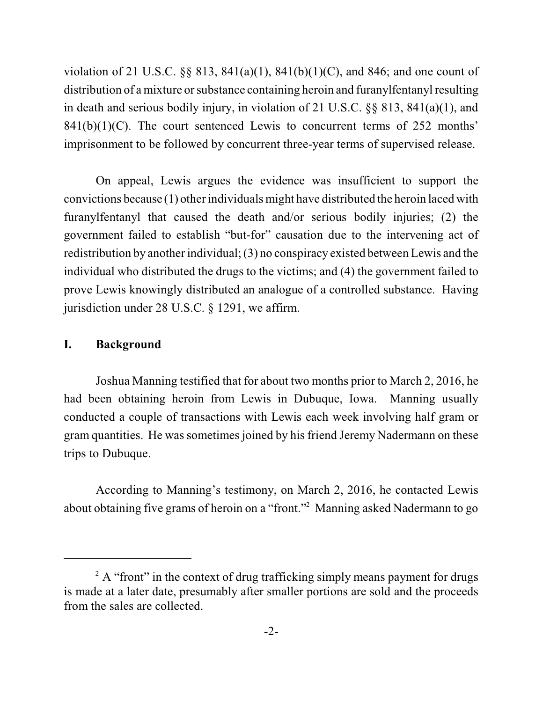violation of 21 U.S.C.  $\S$  813, 841(a)(1), 841(b)(1)(C), and 846; and one count of distribution of a mixture or substance containing heroin and furanyl fentanyl resulting in death and serious bodily injury, in violation of 21 U.S.C. §§ 813, 841(a)(1), and  $841(b)(1)(C)$ . The court sentenced Lewis to concurrent terms of 252 months' imprisonment to be followed by concurrent three-year terms of supervised release.

On appeal, Lewis argues the evidence was insufficient to support the convictions because (1) other individuals might have distributed the heroin laced with furanylfentanyl that caused the death and/or serious bodily injuries; (2) the government failed to establish "but-for" causation due to the intervening act of redistribution by another individual; (3) no conspiracy existed between Lewis and the individual who distributed the drugs to the victims; and (4) the government failed to prove Lewis knowingly distributed an analogue of a controlled substance. Having jurisdiction under 28 U.S.C. § 1291, we affirm.

## **I. Background**

Joshua Manning testified that for about two months prior to March 2, 2016, he had been obtaining heroin from Lewis in Dubuque, Iowa. Manning usually conducted a couple of transactions with Lewis each week involving half gram or gram quantities. He was sometimes joined by his friend Jeremy Nadermann on these trips to Dubuque.

According to Manning's testimony, on March 2, 2016, he contacted Lewis about obtaining five grams of heroin on a "front."<sup>2</sup> Manning asked Nadermann to go

 $A$  "front" in the context of drug trafficking simply means payment for drugs is made at a later date, presumably after smaller portions are sold and the proceeds from the sales are collected.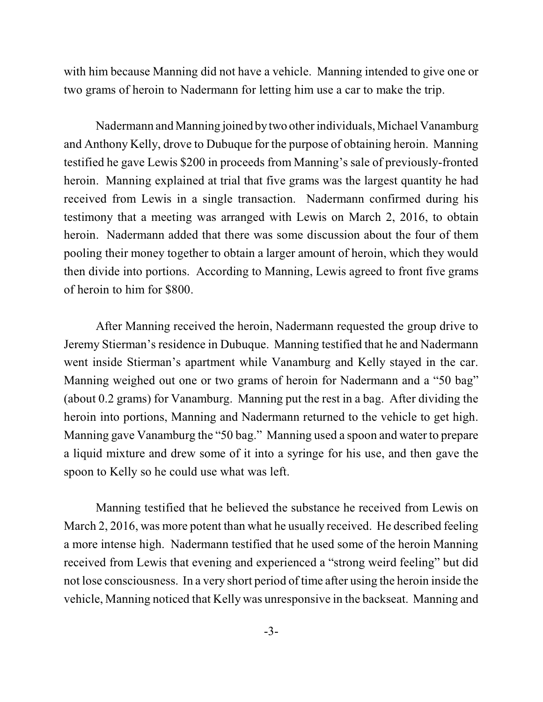with him because Manning did not have a vehicle. Manning intended to give one or two grams of heroin to Nadermann for letting him use a car to make the trip.

Nadermann and Manning joined bytwo other individuals, Michael Vanamburg and Anthony Kelly, drove to Dubuque for the purpose of obtaining heroin. Manning testified he gave Lewis \$200 in proceeds from Manning's sale of previously-fronted heroin. Manning explained at trial that five grams was the largest quantity he had received from Lewis in a single transaction. Nadermann confirmed during his testimony that a meeting was arranged with Lewis on March 2, 2016, to obtain heroin. Nadermann added that there was some discussion about the four of them pooling their money together to obtain a larger amount of heroin, which they would then divide into portions. According to Manning, Lewis agreed to front five grams of heroin to him for \$800.

After Manning received the heroin, Nadermann requested the group drive to Jeremy Stierman's residence in Dubuque. Manning testified that he and Nadermann went inside Stierman's apartment while Vanamburg and Kelly stayed in the car. Manning weighed out one or two grams of heroin for Nadermann and a "50 bag" (about 0.2 grams) for Vanamburg. Manning put the rest in a bag. After dividing the heroin into portions, Manning and Nadermann returned to the vehicle to get high. Manning gave Vanamburg the "50 bag." Manning used a spoon and water to prepare a liquid mixture and drew some of it into a syringe for his use, and then gave the spoon to Kelly so he could use what was left.

Manning testified that he believed the substance he received from Lewis on March 2, 2016, was more potent than what he usually received. He described feeling a more intense high. Nadermann testified that he used some of the heroin Manning received from Lewis that evening and experienced a "strong weird feeling" but did not lose consciousness. In a very short period of time after using the heroin inside the vehicle, Manning noticed that Kelly was unresponsive in the backseat. Manning and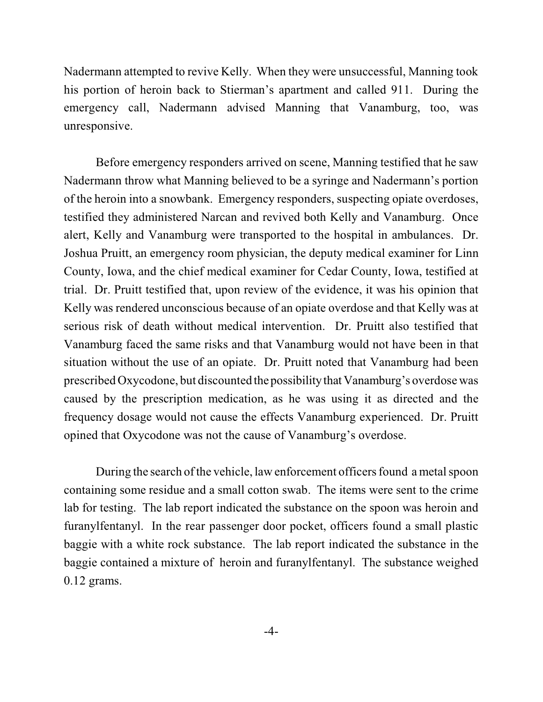Nadermann attempted to revive Kelly. When they were unsuccessful, Manning took his portion of heroin back to Stierman's apartment and called 911. During the emergency call, Nadermann advised Manning that Vanamburg, too, was unresponsive.

Before emergency responders arrived on scene, Manning testified that he saw Nadermann throw what Manning believed to be a syringe and Nadermann's portion of the heroin into a snowbank. Emergency responders, suspecting opiate overdoses, testified they administered Narcan and revived both Kelly and Vanamburg. Once alert, Kelly and Vanamburg were transported to the hospital in ambulances. Dr. Joshua Pruitt, an emergency room physician, the deputy medical examiner for Linn County, Iowa, and the chief medical examiner for Cedar County, Iowa, testified at trial. Dr. Pruitt testified that, upon review of the evidence, it was his opinion that Kelly was rendered unconscious because of an opiate overdose and that Kelly was at serious risk of death without medical intervention. Dr. Pruitt also testified that Vanamburg faced the same risks and that Vanamburg would not have been in that situation without the use of an opiate. Dr. Pruitt noted that Vanamburg had been prescribed Oxycodone, but discounted the possibility that Vanamburg's overdose was caused by the prescription medication, as he was using it as directed and the frequency dosage would not cause the effects Vanamburg experienced. Dr. Pruitt opined that Oxycodone was not the cause of Vanamburg's overdose.

During the search of the vehicle, law enforcement officers found a metal spoon containing some residue and a small cotton swab. The items were sent to the crime lab for testing. The lab report indicated the substance on the spoon was heroin and furanylfentanyl. In the rear passenger door pocket, officers found a small plastic baggie with a white rock substance. The lab report indicated the substance in the baggie contained a mixture of heroin and furanylfentanyl. The substance weighed 0.12 grams.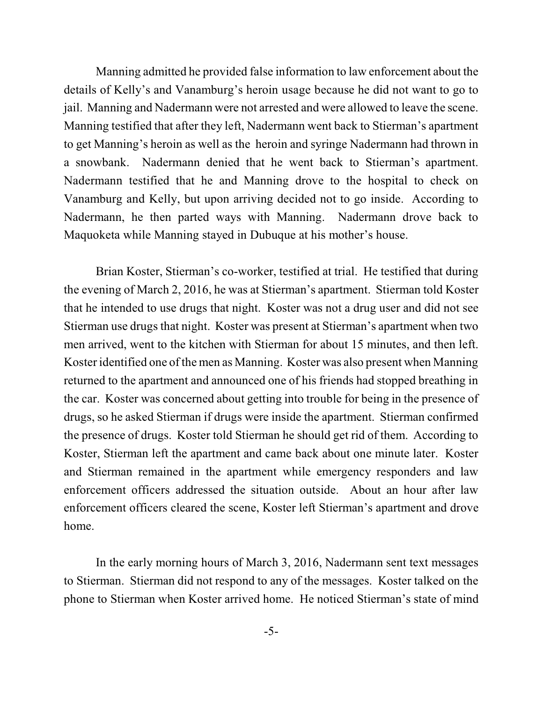Manning admitted he provided false information to law enforcement about the details of Kelly's and Vanamburg's heroin usage because he did not want to go to jail. Manning and Nadermann were not arrested and were allowed to leave the scene. Manning testified that after they left, Nadermann went back to Stierman's apartment to get Manning's heroin as well as the heroin and syringe Nadermann had thrown in a snowbank. Nadermann denied that he went back to Stierman's apartment. Nadermann testified that he and Manning drove to the hospital to check on Vanamburg and Kelly, but upon arriving decided not to go inside. According to Nadermann, he then parted ways with Manning. Nadermann drove back to Maquoketa while Manning stayed in Dubuque at his mother's house.

Brian Koster, Stierman's co-worker, testified at trial. He testified that during the evening of March 2, 2016, he was at Stierman's apartment. Stierman told Koster that he intended to use drugs that night. Koster was not a drug user and did not see Stierman use drugs that night. Koster was present at Stierman's apartment when two men arrived, went to the kitchen with Stierman for about 15 minutes, and then left. Koster identified one of the men as Manning. Koster was also present when Manning returned to the apartment and announced one of his friends had stopped breathing in the car. Koster was concerned about getting into trouble for being in the presence of drugs, so he asked Stierman if drugs were inside the apartment. Stierman confirmed the presence of drugs. Koster told Stierman he should get rid of them. According to Koster, Stierman left the apartment and came back about one minute later. Koster and Stierman remained in the apartment while emergency responders and law enforcement officers addressed the situation outside. About an hour after law enforcement officers cleared the scene, Koster left Stierman's apartment and drove home.

In the early morning hours of March 3, 2016, Nadermann sent text messages to Stierman. Stierman did not respond to any of the messages. Koster talked on the phone to Stierman when Koster arrived home. He noticed Stierman's state of mind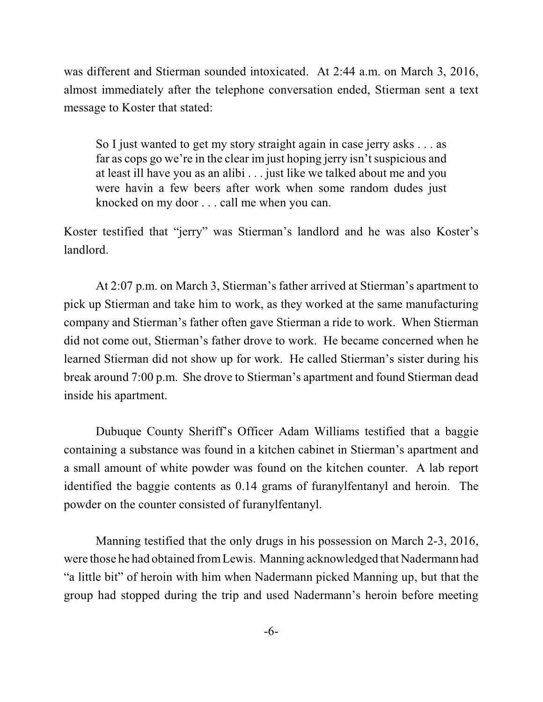was different and Stierman sounded intoxicated. At 2:44 a.m. on March 3, 2016, almost immediately after the telephone conversation ended, Stierman sent a text message to Koster that stated:

So I just wanted to get my story straight again in case jerry asks . . . as far as cops go we're in the clear im just hoping jerry isn't suspicious and at least ill have you as an alibi . . . just like we talked about me and you were havin a few beers after work when some random dudes just knocked on my door . . . call me when you can.

Koster testified that "jerry" was Stierman's landlord and he was also Koster's landlord.

At 2:07 p.m. on March 3, Stierman's father arrived at Stierman's apartment to pick up Stierman and take him to work, as they worked at the same manufacturing company and Stierman's father often gave Stierman a ride to work. When Stierman did not come out, Stierman's father drove to work. He became concerned when he learned Stierman did not show up for work. He called Stierman's sister during his break around 7:00 p.m. She drove to Stierman's apartment and found Stierman dead inside his apartment.

Dubuque County Sheriff's Officer Adam Williams testified that a baggie containing a substance was found in a kitchen cabinet in Stierman's apartment and a small amount of white powder was found on the kitchen counter. A lab report identified the baggie contents as 0.14 grams of furanylfentanyl and heroin. The powder on the counter consisted of furanylfentanyl.

Manning testified that the only drugs in his possession on March 2-3, 2016, were those he had obtained fromLewis. Manning acknowledged that Nadermann had "a little bit" of heroin with him when Nadermann picked Manning up, but that the group had stopped during the trip and used Nadermann's heroin before meeting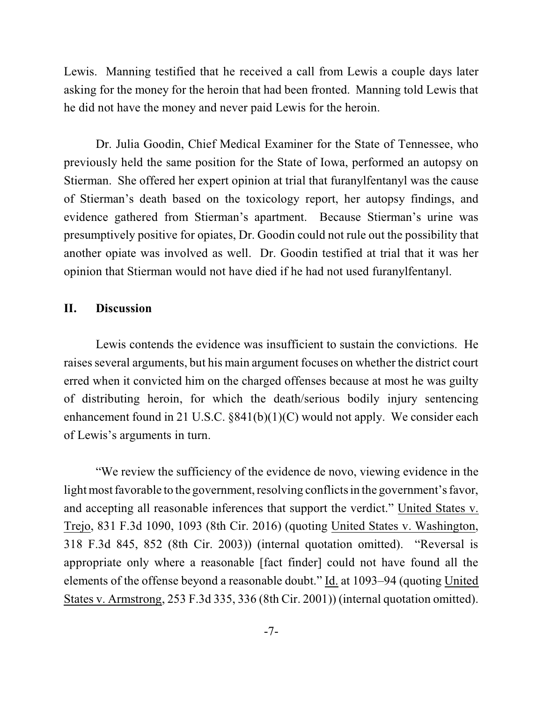Lewis. Manning testified that he received a call from Lewis a couple days later asking for the money for the heroin that had been fronted. Manning told Lewis that he did not have the money and never paid Lewis for the heroin.

Dr. Julia Goodin, Chief Medical Examiner for the State of Tennessee, who previously held the same position for the State of Iowa, performed an autopsy on Stierman. She offered her expert opinion at trial that furanylfentanyl was the cause of Stierman's death based on the toxicology report, her autopsy findings, and evidence gathered from Stierman's apartment. Because Stierman's urine was presumptively positive for opiates, Dr. Goodin could not rule out the possibility that another opiate was involved as well. Dr. Goodin testified at trial that it was her opinion that Stierman would not have died if he had not used furanylfentanyl.

## **II. Discussion**

Lewis contends the evidence was insufficient to sustain the convictions. He raises several arguments, but his main argument focuses on whether the district court erred when it convicted him on the charged offenses because at most he was guilty of distributing heroin, for which the death/serious bodily injury sentencing enhancement found in 21 U.S.C. §841(b)(1)(C) would not apply. We consider each of Lewis's arguments in turn.

"We review the sufficiency of the evidence de novo, viewing evidence in the light most favorable to the government, resolving conflicts in the government's favor, and accepting all reasonable inferences that support the verdict." United States v. Trejo, 831 F.3d 1090, 1093 (8th Cir. 2016) (quoting United States v. Washington, 318 F.3d 845, 852 (8th Cir. 2003)) (internal quotation omitted). "Reversal is appropriate only where a reasonable [fact finder] could not have found all the elements of the offense beyond a reasonable doubt." Id. at 1093–94 (quoting United States v. Armstrong, 253 F.3d 335, 336 (8th Cir. 2001)) (internal quotation omitted).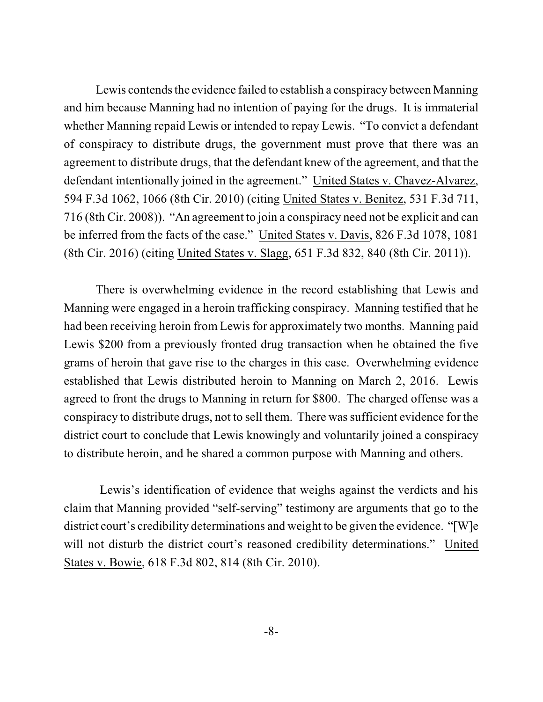Lewis contends the evidence failed to establish a conspiracy between Manning and him because Manning had no intention of paying for the drugs. It is immaterial whether Manning repaid Lewis or intended to repay Lewis. "To convict a defendant of conspiracy to distribute drugs, the government must prove that there was an agreement to distribute drugs, that the defendant knew of the agreement, and that the defendant intentionally joined in the agreement." United States v. Chavez-Alvarez, 594 F.3d 1062, 1066 (8th Cir. 2010) (citing United States v. Benitez, 531 F.3d 711, 716 (8th Cir. 2008)). "An agreement to join a conspiracy need not be explicit and can be inferred from the facts of the case." United States v. Davis, 826 F.3d 1078, 1081 (8th Cir. 2016) (citing United States v. Slagg, 651 F.3d 832, 840 (8th Cir. 2011)).

There is overwhelming evidence in the record establishing that Lewis and Manning were engaged in a heroin trafficking conspiracy. Manning testified that he had been receiving heroin from Lewis for approximately two months. Manning paid Lewis \$200 from a previously fronted drug transaction when he obtained the five grams of heroin that gave rise to the charges in this case. Overwhelming evidence established that Lewis distributed heroin to Manning on March 2, 2016. Lewis agreed to front the drugs to Manning in return for \$800. The charged offense was a conspiracy to distribute drugs, not to sell them. There was sufficient evidence for the district court to conclude that Lewis knowingly and voluntarily joined a conspiracy to distribute heroin, and he shared a common purpose with Manning and others.

Lewis's identification of evidence that weighs against the verdicts and his claim that Manning provided "self-serving" testimony are arguments that go to the district court's credibility determinations and weight to be given the evidence. "[W]e will not disturb the district court's reasoned credibility determinations." United States v. Bowie, 618 F.3d 802, 814 (8th Cir. 2010).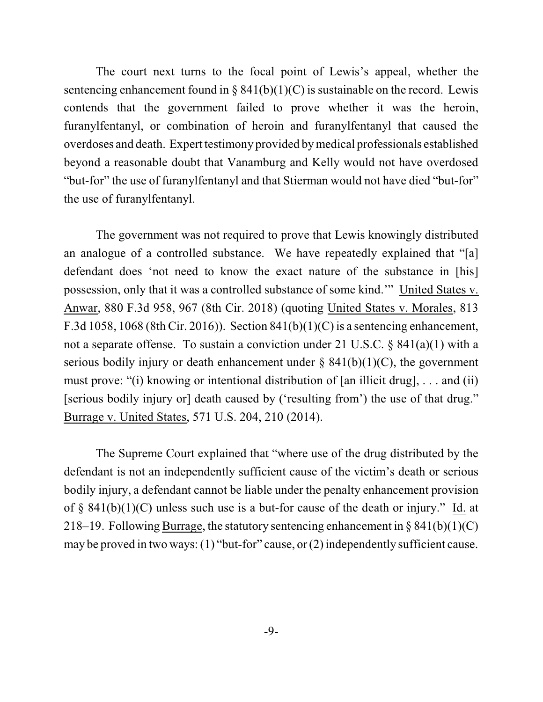The court next turns to the focal point of Lewis's appeal, whether the sentencing enhancement found in §  $841(b)(1)(C)$  is sustainable on the record. Lewis contends that the government failed to prove whether it was the heroin, furanylfentanyl, or combination of heroin and furanylfentanyl that caused the overdoses and death. Expert testimony provided by medical professionals established beyond a reasonable doubt that Vanamburg and Kelly would not have overdosed "but-for" the use of furanylfentanyl and that Stierman would not have died "but-for" the use of furanylfentanyl.

The government was not required to prove that Lewis knowingly distributed an analogue of a controlled substance. We have repeatedly explained that "[a] defendant does 'not need to know the exact nature of the substance in [his] possession, only that it was a controlled substance of some kind.'" United States v. Anwar, 880 F.3d 958, 967 (8th Cir. 2018) (quoting United States v. Morales, 813 F.3d 1058, 1068 (8th Cir. 2016)). Section 841(b)(1)(C) is a sentencing enhancement, not a separate offense. To sustain a conviction under 21 U.S.C. § 841(a)(1) with a serious bodily injury or death enhancement under  $\S$  841(b)(1)(C), the government must prove: "(i) knowing or intentional distribution of [an illicit drug], . . . and (ii) [serious bodily injury or] death caused by ('resulting from') the use of that drug." Burrage v. United States, 571 U.S. 204, 210 (2014).

The Supreme Court explained that "where use of the drug distributed by the defendant is not an independently sufficient cause of the victim's death or serious bodily injury, a defendant cannot be liable under the penalty enhancement provision of § 841(b)(1)(C) unless such use is a but-for cause of the death or injury." Id. at 218–19. Following Burrage, the statutory sentencing enhancement in  $\S 841(b)(1)(C)$ may be proved in two ways:(1) "but-for" cause, or(2) independently sufficient cause.